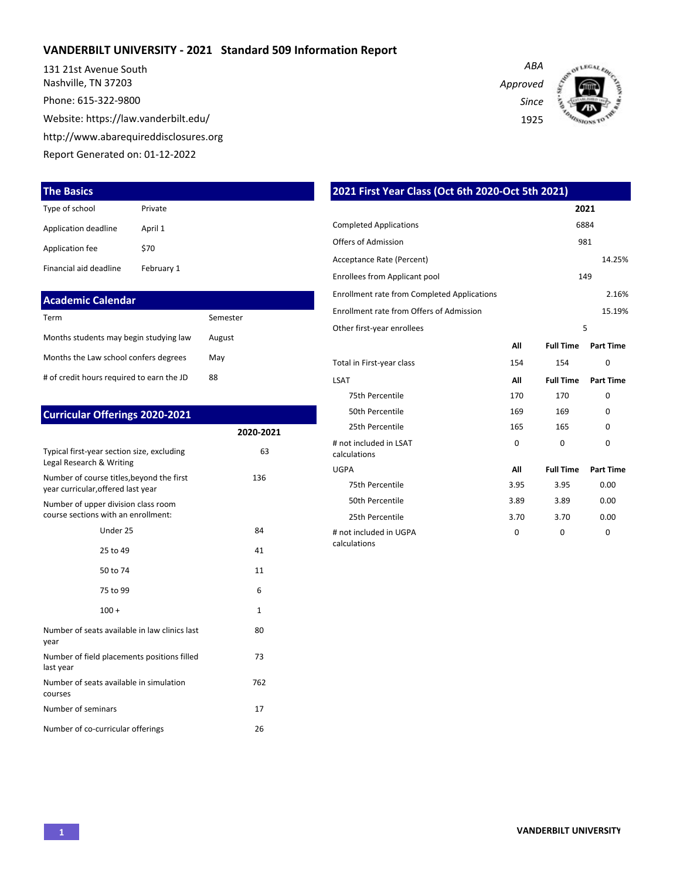#### **VANDERBILT UNIVERSITY - 2021 Standard 509 Information Report**

131 21st Avenue South Nashville, TN 37203 Phone: 615-322-9800 Website: https://law.vanderbilt.edu/ http://www.abarequireddisclosures.org Report Generated on: 01-12-2022

#### **The Basics**

| Type of school         | Private    |
|------------------------|------------|
| Application deadline   | April 1    |
| Application fee        | \$70       |
| Financial aid deadline | February 1 |

| Academic Calendar                         |          |
|-------------------------------------------|----------|
| Term                                      | Semester |
| Months students may begin studying law    | August   |
| Months the Law school confers degrees     | May      |
| # of credit hours required to earn the JD | 88       |

| <b>Curricular Offerings 2020-2021</b>                                           |              |
|---------------------------------------------------------------------------------|--------------|
|                                                                                 | 2020-2021    |
| Typical first-year section size, excluding<br>Legal Research & Writing          | 63           |
| Number of course titles, beyond the first<br>year curricular, offered last year | 136          |
| Number of upper division class room<br>course sections with an enrollment:      |              |
| Under 25                                                                        | 84           |
| 25 to 49                                                                        | 41           |
| 50 to 74                                                                        | 11           |
| 75 to 99                                                                        | 6            |
| $100 +$                                                                         | $\mathbf{1}$ |
| Number of seats available in law clinics last<br>year                           | 80           |
| Number of field placements positions filled<br>last year                        | 73           |
| Number of seats available in simulation<br>courses                              | 762          |
| Number of seminars                                                              | 17           |
| Number of co-curricular offerings                                               | 26           |

*ABA Approved Since* 1925



| 2021 First Year Class (Oct 6th 2020-Oct 5th 2021)  |          |                  |                  |  |  |  |  |  |
|----------------------------------------------------|----------|------------------|------------------|--|--|--|--|--|
|                                                    |          | 2021             |                  |  |  |  |  |  |
| <b>Completed Applications</b>                      |          | 6884             |                  |  |  |  |  |  |
| Offers of Admission<br>981                         |          |                  |                  |  |  |  |  |  |
| Acceptance Rate (Percent)                          |          | 14.25%           |                  |  |  |  |  |  |
| <b>Enrollees from Applicant pool</b>               |          |                  | 149              |  |  |  |  |  |
| <b>Enrollment rate from Completed Applications</b> |          |                  | 2.16%            |  |  |  |  |  |
| Enrollment rate from Offers of Admission           |          |                  | 15.19%           |  |  |  |  |  |
| Other first-year enrollees                         |          |                  | 5                |  |  |  |  |  |
|                                                    | All      | <b>Full Time</b> | <b>Part Time</b> |  |  |  |  |  |
| Total in First-year class                          | 154      | 154              | 0                |  |  |  |  |  |
| <b>LSAT</b>                                        | ΑIΙ      | <b>Full Time</b> | <b>Part Time</b> |  |  |  |  |  |
| 75th Percentile                                    | 170      | 170              | $\Omega$         |  |  |  |  |  |
| 50th Percentile                                    | 169      | 169              | $\Omega$         |  |  |  |  |  |
| 25th Percentile                                    | 165      | 165              | U                |  |  |  |  |  |
| # not included in LSAT<br>calculations             | $\Omega$ | $\Omega$         | $\Omega$         |  |  |  |  |  |
| <b>UGPA</b>                                        | All      | <b>Full Time</b> | <b>Part Time</b> |  |  |  |  |  |
| 75th Percentile                                    | 3.95     | 3.95             | 0.00             |  |  |  |  |  |
| 50th Percentile                                    | 3.89     | 3.89             | 0.00             |  |  |  |  |  |
| 25th Percentile                                    | 3.70     | 3.70             | 0.00             |  |  |  |  |  |
| # not included in UGPA<br>calculations             | $\Omega$ | $\Omega$         | $\Omega$         |  |  |  |  |  |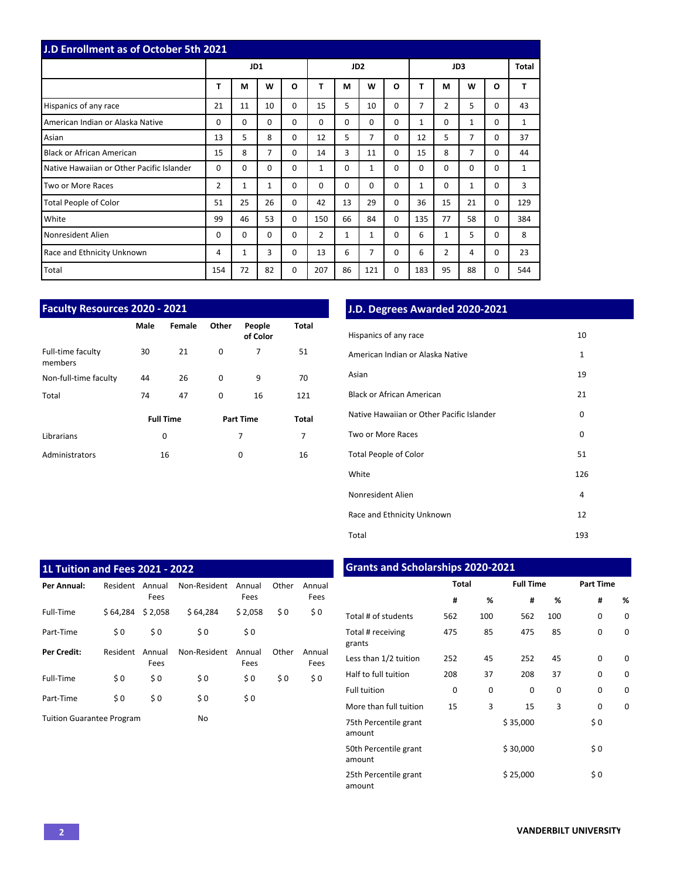| <b>J.D Enrollment as of October 5th 2021</b> |     |              |                |          |                |                 |                |          |              |                |              |          |       |
|----------------------------------------------|-----|--------------|----------------|----------|----------------|-----------------|----------------|----------|--------------|----------------|--------------|----------|-------|
|                                              |     | JD1          |                |          |                | JD <sub>2</sub> |                |          | JD3          |                |              |          | Total |
|                                              | T   | M            | W              | $\Omega$ | T              | M               | W              | O        | T            | М              | W            | O        | т     |
| Hispanics of any race                        | 21  | 11           | 10             | $\Omega$ | 15             | 5               | 10             | 0        | 7            | $\overline{2}$ | 5            | 0        | 43    |
| American Indian or Alaska Native             | 0   | 0            | $\Omega$       | $\Omega$ | $\Omega$       | $\Omega$        | $\Omega$       | 0        | 1            | $\Omega$       | 1            | 0        | 1     |
| Asian                                        | 13  | 5            | 8              | $\Omega$ | 12             | 5               | $\overline{7}$ | 0        | 12           | 5              | 7            | 0        | 37    |
| <b>Black or African American</b>             | 15  | 8            | $\overline{7}$ | $\Omega$ | 14             | 3               | 11             | 0        | 15           | 8              | 7            | 0        | 44    |
| Native Hawaiian or Other Pacific Islander    | 0   | 0            | 0              | $\Omega$ | 1              | $\Omega$        | $\mathbf{1}$   | 0        | $\Omega$     | $\Omega$       | $\mathbf 0$  | 0        | 1     |
| Two or More Races                            | 2   | $\mathbf{1}$ | $\mathbf{1}$   | $\Omega$ | $\Omega$       | $\Omega$        | $\Omega$       | 0        | $\mathbf{1}$ | $\Omega$       | $\mathbf{1}$ | 0        | 3     |
| <b>Total People of Color</b>                 | 51  | 25           | 26             | $\Omega$ | 42             | 13              | 29             | $\Omega$ | 36           | 15             | 21           | 0        | 129   |
| White                                        | 99  | 46           | 53             | $\Omega$ | 150            | 66              | 84             | 0        | 135          | 77             | 58           | $\Omega$ | 384   |
| Nonresident Alien                            | 0   | $\Omega$     | $\Omega$       | $\Omega$ | $\overline{2}$ | $\mathbf{1}$    | $\mathbf{1}$   | 0        | 6            | 1              | 5            | 0        | 8     |
| Race and Ethnicity Unknown                   | 4   | 1            | 3              | $\Omega$ | 13             | 6               | 7              | 0        | 6            | 2              | 4            | 0        | 23    |
| Total                                        | 154 | 72           | 82             | 0        | 207            | 86              | 121            | 0        | 183          | 95             | 88           | 0        | 544   |

| <b>Faculty Resources 2020 - 2021</b> |      |                  |          |                    |       |  |  |  |  |  |  |  |  |
|--------------------------------------|------|------------------|----------|--------------------|-------|--|--|--|--|--|--|--|--|
|                                      | Male | Female           | Other    | People<br>of Color | Total |  |  |  |  |  |  |  |  |
| Full-time faculty<br>members         | 30   | 21               | 0        | 7                  | 51    |  |  |  |  |  |  |  |  |
| Non-full-time faculty                | 44   | 26               | 0        | 9                  | 70    |  |  |  |  |  |  |  |  |
| Total                                | 74   | 47               | $\Omega$ | 16                 | 121   |  |  |  |  |  |  |  |  |
|                                      |      | <b>Full Time</b> |          | <b>Part Time</b>   | Total |  |  |  |  |  |  |  |  |
| Librarians                           |      | 0                |          | 7                  | 7     |  |  |  |  |  |  |  |  |
| Administrators                       |      | 16               |          | 0                  | 16    |  |  |  |  |  |  |  |  |

## **J.D. Degrees Awarded 2020-2021**

| Hispanics of any race                     | 10           |
|-------------------------------------------|--------------|
| American Indian or Alaska Native          | $\mathbf{1}$ |
| Asian                                     | 19           |
| <b>Black or African American</b>          | 21           |
| Native Hawaiian or Other Pacific Islander | 0            |
| Two or More Races                         | 0            |
| <b>Total People of Color</b>              | 51           |
| White                                     | 126          |
| Nonresident Alien                         | 4            |
| Race and Ethnicity Unknown                | 12           |
| Total                                     | 193          |

| 1L Tuition and Fees 2021 - 2022  |          |                |              |                |       |                |
|----------------------------------|----------|----------------|--------------|----------------|-------|----------------|
| Per Annual:                      | Resident | Annual<br>Fees | Non-Resident | Annual<br>Fees | Other | Annual<br>Fees |
| Full-Time                        | \$64.284 | \$2,058        | \$64,284     | \$2,058        | \$0   | \$0            |
| Part-Time                        | \$0      | \$0            | \$0          | \$0            |       |                |
| <b>Per Credit:</b>               | Resident | Annual<br>Fees | Non-Resident | Annual<br>Fees | Other | Annual<br>Fees |
| Full-Time                        | \$0      | \$0            | \$0          | \$0            | \$0   | \$0            |
| Part-Time                        | \$0      | \$0            | \$0          | \$0            |       |                |
| <b>Tuition Guarantee Program</b> |          |                | No           |                |       |                |

# **Grants and Scholarships 2020-2021**

|                                 | <b>Total</b> |     | <b>Full Time</b> |     | <b>Part Time</b> |          |  |  |
|---------------------------------|--------------|-----|------------------|-----|------------------|----------|--|--|
|                                 | #            | %   | #                | %   | #                | %        |  |  |
| Total # of students             | 562          | 100 | 562              | 100 | 0                | $\Omega$ |  |  |
| Total # receiving<br>grants     | 475          | 85  | 475              | 85  | $\Omega$         | $\Omega$ |  |  |
| Less than 1/2 tuition           | 252          | 45  | 252              | 45  | $\Omega$         | $\Omega$ |  |  |
| Half to full tuition            | 208          | 37  | 208              | 37  | $\Omega$         | $\Omega$ |  |  |
| <b>Full tuition</b>             | 0            | 0   | 0                | 0   | $\Omega$         | $\Omega$ |  |  |
| More than full tuition          | 15           | 3   | 15               | 3   | $\Omega$         | 0        |  |  |
| 75th Percentile grant<br>amount |              |     | \$35,000         |     | \$0              |          |  |  |
| 50th Percentile grant<br>amount |              |     | \$30,000         |     | \$0              |          |  |  |
| 25th Percentile grant<br>amount |              |     | \$25,000         |     | \$0              |          |  |  |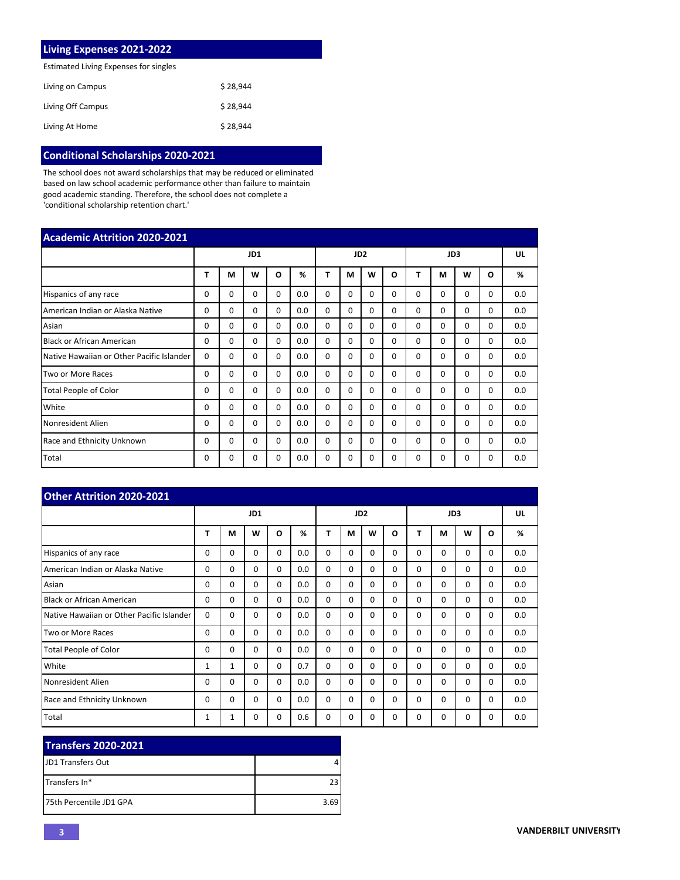| Living Expenses 2021-2022             |          |
|---------------------------------------|----------|
| Estimated Living Expenses for singles |          |
| Living on Campus                      | \$28.944 |
| Living Off Campus                     | \$28.944 |
| Living At Home                        | \$28.944 |

## **Conditional Scholarships 2020-2021**

The school does not award scholarships that may be reduced or eliminated based on law school academic performance other than failure to maintain good academic standing. Therefore, the school does not complete a 'conditional scholarship retention chart.'

| <b>Academic Attrition 2020-2021</b>       |          |          |          |          |     |          |          |                 |          |              |          |          |          |     |
|-------------------------------------------|----------|----------|----------|----------|-----|----------|----------|-----------------|----------|--------------|----------|----------|----------|-----|
|                                           |          |          | JD1      |          |     |          |          | JD <sub>2</sub> |          | JD3          |          |          |          | UL  |
|                                           | т        | М        | w        | O        | %   | Т        | М        | W               | O        | т            | M        | W        | $\Omega$ | %   |
| Hispanics of any race                     | 0        | 0        | $\Omega$ | $\Omega$ | 0.0 | $\Omega$ | 0        | $\Omega$        | $\Omega$ | <sup>0</sup> | $\Omega$ | 0        | 0        | 0.0 |
| American Indian or Alaska Native          | $\Omega$ | $\Omega$ | $\Omega$ | $\Omega$ | 0.0 | $\Omega$ | $\Omega$ | $\Omega$        | $\Omega$ | $\Omega$     | $\Omega$ | 0        | $\Omega$ | 0.0 |
| Asian                                     | 0        | $\Omega$ | $\Omega$ | $\Omega$ | 0.0 | $\Omega$ | $\Omega$ | $\Omega$        | 0        | $\Omega$     | $\Omega$ | $\Omega$ | $\Omega$ | 0.0 |
| <b>Black or African American</b>          | 0        | $\Omega$ | $\Omega$ | $\Omega$ | 0.0 | $\Omega$ | $\Omega$ | $\Omega$        | $\Omega$ | $\Omega$     | $\Omega$ | $\Omega$ | $\Omega$ | 0.0 |
| Native Hawaiian or Other Pacific Islander | $\Omega$ | $\Omega$ | $\Omega$ | $\Omega$ | 0.0 | $\Omega$ | $\Omega$ | $\Omega$        | 0        | $\Omega$     | 0        | 0        | 0        | 0.0 |
| Two or More Races                         | 0        | $\Omega$ | $\Omega$ | $\Omega$ | 0.0 | $\Omega$ | $\Omega$ | $\Omega$        | $\Omega$ | $\Omega$     | $\Omega$ | $\Omega$ | $\Omega$ | 0.0 |
| <b>Total People of Color</b>              | 0        | $\Omega$ | $\Omega$ | $\Omega$ | 0.0 | $\Omega$ | $\Omega$ | $\Omega$        | $\Omega$ | $\Omega$     | $\Omega$ | $\Omega$ | $\Omega$ | 0.0 |
| White                                     | $\Omega$ | $\Omega$ | $\Omega$ | $\Omega$ | 0.0 | $\Omega$ | $\Omega$ | $\Omega$        | $\Omega$ | $\Omega$     | $\Omega$ | $\Omega$ | $\Omega$ | 0.0 |
| Nonresident Alien                         | 0        | $\Omega$ | $\Omega$ | $\Omega$ | 0.0 | $\Omega$ | $\Omega$ | $\Omega$        | $\Omega$ | $\Omega$     | $\Omega$ | 0        | $\Omega$ | 0.0 |
| Race and Ethnicity Unknown                | 0        | $\Omega$ | $\Omega$ | $\Omega$ | 0.0 | $\Omega$ | $\Omega$ | $\Omega$        | $\Omega$ | $\Omega$     | $\Omega$ | 0        | $\Omega$ | 0.0 |
| Total                                     | 0        | 0        | $\Omega$ | $\Omega$ | 0.0 | $\Omega$ | 0        | $\Omega$        | $\Omega$ | $\Omega$     | $\Omega$ | $\Omega$ | $\Omega$ | 0.0 |

| <b>Other Attrition 2020-2021</b>          |          |              |          |          |     |          |          |                 |          |          |          |          |          |     |
|-------------------------------------------|----------|--------------|----------|----------|-----|----------|----------|-----------------|----------|----------|----------|----------|----------|-----|
|                                           |          |              | JD1      |          |     |          |          | JD <sub>2</sub> |          | JD3      |          |          |          | UL  |
|                                           | т        | M            | W        | $\Omega$ | %   | Т        | М        | W               | O        | т        | М        | W        | O        | %   |
| Hispanics of any race                     | 0        | $\Omega$     | 0        | $\Omega$ | 0.0 | $\Omega$ | $\Omega$ | $\Omega$        | $\Omega$ | 0        | $\Omega$ | 0        | $\Omega$ | 0.0 |
| American Indian or Alaska Native          | $\Omega$ | $\Omega$     | $\Omega$ | $\Omega$ | 0.0 | $\Omega$ | $\Omega$ | $\Omega$        | $\Omega$ | $\Omega$ | $\Omega$ | $\Omega$ | $\Omega$ | 0.0 |
| Asian                                     | $\Omega$ | $\Omega$     | $\Omega$ | $\Omega$ | 0.0 | $\Omega$ | $\Omega$ | $\Omega$        | $\Omega$ | $\Omega$ | $\Omega$ | $\Omega$ | $\Omega$ | 0.0 |
| <b>Black or African American</b>          | $\Omega$ | $\Omega$     | $\Omega$ | $\Omega$ | 0.0 | $\Omega$ | $\Omega$ | $\Omega$        | $\Omega$ | $\Omega$ | $\Omega$ | $\Omega$ | $\Omega$ | 0.0 |
| Native Hawaiian or Other Pacific Islander | $\Omega$ | $\Omega$     | 0        | $\Omega$ | 0.0 | $\Omega$ | $\Omega$ | $\Omega$        | $\Omega$ | 0        | $\Omega$ | 0        | $\Omega$ | 0.0 |
| Two or More Races                         | $\Omega$ | $\Omega$     | $\Omega$ | $\Omega$ | 0.0 | $\Omega$ | $\Omega$ | $\Omega$        | $\Omega$ | $\Omega$ | $\Omega$ | 0        | $\Omega$ | 0.0 |
| <b>Total People of Color</b>              | 0        | $\Omega$     | $\Omega$ | $\Omega$ | 0.0 | $\Omega$ | $\Omega$ | $\Omega$        | $\Omega$ | $\Omega$ | $\Omega$ | $\Omega$ | $\Omega$ | 0.0 |
| White                                     | 1        | $\mathbf{1}$ | $\Omega$ | $\Omega$ | 0.7 | $\Omega$ | $\Omega$ | $\Omega$        | $\Omega$ | $\Omega$ | $\Omega$ | 0        | $\Omega$ | 0.0 |
| Nonresident Alien                         | 0        | $\Omega$     | $\Omega$ | $\Omega$ | 0.0 | $\Omega$ | $\Omega$ | $\Omega$        | $\Omega$ | $\Omega$ | $\Omega$ | $\Omega$ | $\Omega$ | 0.0 |
| <b>Race and Ethnicity Unknown</b>         | 0        | $\Omega$     | $\Omega$ | $\Omega$ | 0.0 | $\Omega$ | $\Omega$ | $\Omega$        | $\Omega$ | $\Omega$ | $\Omega$ | $\Omega$ | $\Omega$ | 0.0 |
| Total                                     | 1        | 1            | 0        | $\Omega$ | 0.6 | $\Omega$ | 0        | $\Omega$        | $\Omega$ | 0        | 0        | 0        | 0        | 0.0 |

| <b>Transfers 2020-2021</b> |      |
|----------------------------|------|
| <b>IJD1 Transfers Out</b>  |      |
| ITransfers In*             | 23   |
| 175th Percentile JD1 GPA   | 3.69 |